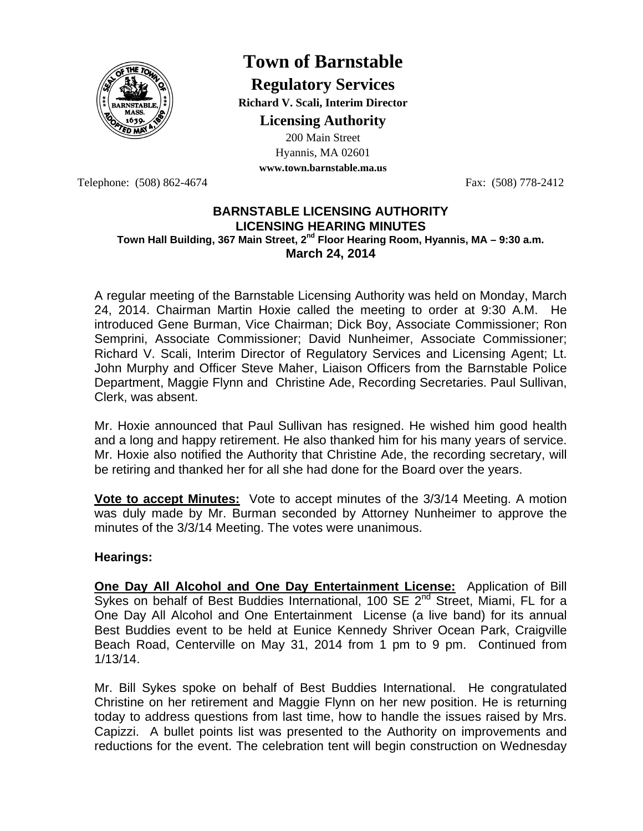

# **Town of Barnstable**

**Regulatory Services Richard V. Scali, Interim Director Licensing Authority**

200 Main Street Hyannis, MA 02601 **www.town.barnstable.ma.us**

Telephone: (508) 862-4674 Fax: (508) 778-2412

## **BARNSTABLE LICENSING AUTHORITY LICENSING HEARING MINUTES**  Town Hall Building, 367 Main Street, 2<sup>nd</sup> Floor Hearing Room, Hyannis, MA – 9:30 a.m. **March 24, 2014**

A regular meeting of the Barnstable Licensing Authority was held on Monday, March 24, 2014. Chairman Martin Hoxie called the meeting to order at 9:30 A.M. He introduced Gene Burman, Vice Chairman; Dick Boy, Associate Commissioner; Ron Semprini, Associate Commissioner; David Nunheimer, Associate Commissioner; Richard V. Scali, Interim Director of Regulatory Services and Licensing Agent; Lt. John Murphy and Officer Steve Maher, Liaison Officers from the Barnstable Police Department, Maggie Flynn and Christine Ade, Recording Secretaries. Paul Sullivan, Clerk, was absent.

Mr. Hoxie announced that Paul Sullivan has resigned. He wished him good health and a long and happy retirement. He also thanked him for his many years of service. Mr. Hoxie also notified the Authority that Christine Ade, the recording secretary, will be retiring and thanked her for all she had done for the Board over the years.

**Vote to accept Minutes:** Vote to accept minutes of the 3/3/14 Meeting. A motion was duly made by Mr. Burman seconded by Attorney Nunheimer to approve the minutes of the 3/3/14 Meeting. The votes were unanimous.

# **Hearings:**

**One Day All Alcohol and One Day Entertainment License:** Application of Bill Sykes on behalf of Best Buddies International, 100 SE  $2^{nd}$  Street, Miami, FL for a One Day All Alcohol and One Entertainment License (a live band) for its annual Best Buddies event to be held at Eunice Kennedy Shriver Ocean Park, Craigville Beach Road, Centerville on May 31, 2014 from 1 pm to 9 pm. Continued from 1/13/14.

Mr. Bill Sykes spoke on behalf of Best Buddies International. He congratulated Christine on her retirement and Maggie Flynn on her new position. He is returning today to address questions from last time, how to handle the issues raised by Mrs. Capizzi. A bullet points list was presented to the Authority on improvements and reductions for the event. The celebration tent will begin construction on Wednesday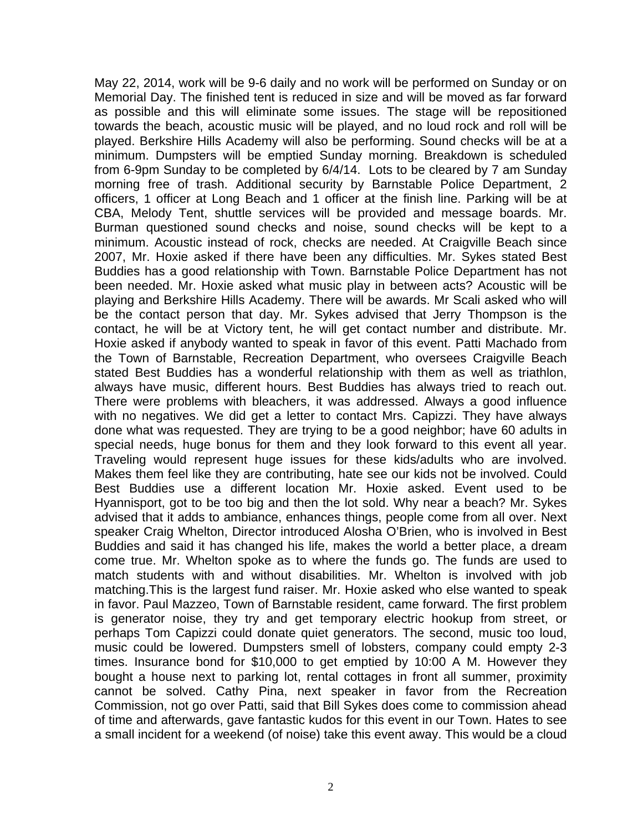May 22, 2014, work will be 9-6 daily and no work will be performed on Sunday or on Memorial Day. The finished tent is reduced in size and will be moved as far forward as possible and this will eliminate some issues. The stage will be repositioned towards the beach, acoustic music will be played, and no loud rock and roll will be played. Berkshire Hills Academy will also be performing. Sound checks will be at a minimum. Dumpsters will be emptied Sunday morning. Breakdown is scheduled from 6-9pm Sunday to be completed by 6/4/14. Lots to be cleared by 7 am Sunday morning free of trash. Additional security by Barnstable Police Department, 2 officers, 1 officer at Long Beach and 1 officer at the finish line. Parking will be at CBA, Melody Tent, shuttle services will be provided and message boards. Mr. Burman questioned sound checks and noise, sound checks will be kept to a minimum. Acoustic instead of rock, checks are needed. At Craigville Beach since 2007, Mr. Hoxie asked if there have been any difficulties. Mr. Sykes stated Best Buddies has a good relationship with Town. Barnstable Police Department has not been needed. Mr. Hoxie asked what music play in between acts? Acoustic will be playing and Berkshire Hills Academy. There will be awards. Mr Scali asked who will be the contact person that day. Mr. Sykes advised that Jerry Thompson is the contact, he will be at Victory tent, he will get contact number and distribute. Mr. Hoxie asked if anybody wanted to speak in favor of this event. Patti Machado from the Town of Barnstable, Recreation Department, who oversees Craigville Beach stated Best Buddies has a wonderful relationship with them as well as triathlon, always have music, different hours. Best Buddies has always tried to reach out. There were problems with bleachers, it was addressed. Always a good influence with no negatives. We did get a letter to contact Mrs. Capizzi. They have always done what was requested. They are trying to be a good neighbor; have 60 adults in special needs, huge bonus for them and they look forward to this event all year. Traveling would represent huge issues for these kids/adults who are involved. Makes them feel like they are contributing, hate see our kids not be involved. Could Best Buddies use a different location Mr. Hoxie asked. Event used to be Hyannisport, got to be too big and then the lot sold. Why near a beach? Mr. Sykes advised that it adds to ambiance, enhances things, people come from all over. Next speaker Craig Whelton, Director introduced Alosha O'Brien, who is involved in Best Buddies and said it has changed his life, makes the world a better place, a dream come true. Mr. Whelton spoke as to where the funds go. The funds are used to match students with and without disabilities. Mr. Whelton is involved with job matching.This is the largest fund raiser. Mr. Hoxie asked who else wanted to speak in favor. Paul Mazzeo, Town of Barnstable resident, came forward. The first problem is generator noise, they try and get temporary electric hookup from street, or perhaps Tom Capizzi could donate quiet generators. The second, music too loud, music could be lowered. Dumpsters smell of lobsters, company could empty 2-3 times. Insurance bond for \$10,000 to get emptied by 10:00 A M. However they bought a house next to parking lot, rental cottages in front all summer, proximity cannot be solved. Cathy Pina, next speaker in favor from the Recreation Commission, not go over Patti, said that Bill Sykes does come to commission ahead of time and afterwards, gave fantastic kudos for this event in our Town. Hates to see a small incident for a weekend (of noise) take this event away. This would be a cloud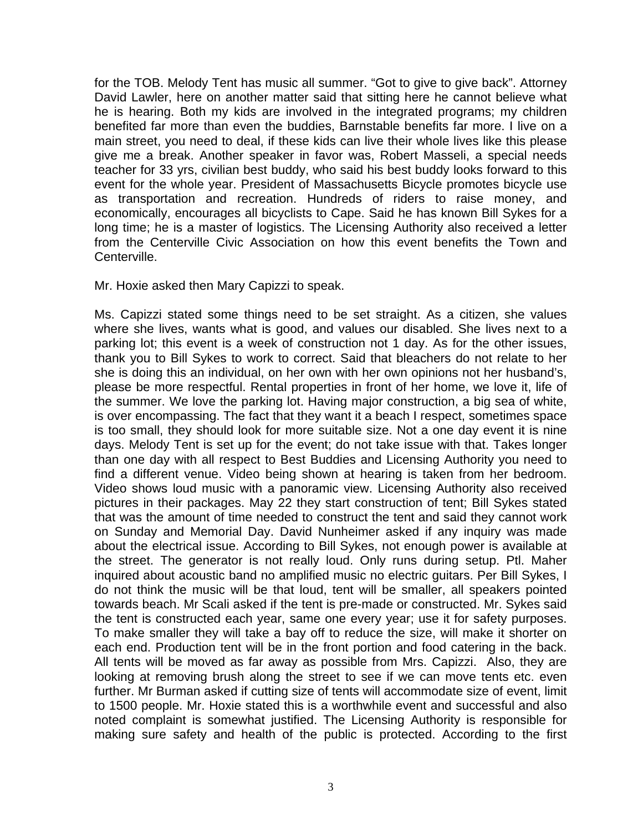for the TOB. Melody Tent has music all summer. "Got to give to give back". Attorney David Lawler, here on another matter said that sitting here he cannot believe what he is hearing. Both my kids are involved in the integrated programs; my children benefited far more than even the buddies, Barnstable benefits far more. I live on a main street, you need to deal, if these kids can live their whole lives like this please give me a break. Another speaker in favor was, Robert Masseli, a special needs teacher for 33 yrs, civilian best buddy, who said his best buddy looks forward to this event for the whole year. President of Massachusetts Bicycle promotes bicycle use as transportation and recreation. Hundreds of riders to raise money, and economically, encourages all bicyclists to Cape. Said he has known Bill Sykes for a long time; he is a master of logistics. The Licensing Authority also received a letter from the Centerville Civic Association on how this event benefits the Town and Centerville.

#### Mr. Hoxie asked then Mary Capizzi to speak.

Ms. Capizzi stated some things need to be set straight. As a citizen, she values where she lives, wants what is good, and values our disabled. She lives next to a parking lot; this event is a week of construction not 1 day. As for the other issues, thank you to Bill Sykes to work to correct. Said that bleachers do not relate to her she is doing this an individual, on her own with her own opinions not her husband's, please be more respectful. Rental properties in front of her home, we love it, life of the summer. We love the parking lot. Having major construction, a big sea of white, is over encompassing. The fact that they want it a beach I respect, sometimes space is too small, they should look for more suitable size. Not a one day event it is nine days. Melody Tent is set up for the event; do not take issue with that. Takes longer than one day with all respect to Best Buddies and Licensing Authority you need to find a different venue. Video being shown at hearing is taken from her bedroom. Video shows loud music with a panoramic view. Licensing Authority also received pictures in their packages. May 22 they start construction of tent; Bill Sykes stated that was the amount of time needed to construct the tent and said they cannot work on Sunday and Memorial Day. David Nunheimer asked if any inquiry was made about the electrical issue. According to Bill Sykes, not enough power is available at the street. The generator is not really loud. Only runs during setup. Ptl. Maher inquired about acoustic band no amplified music no electric guitars. Per Bill Sykes, I do not think the music will be that loud, tent will be smaller, all speakers pointed towards beach. Mr Scali asked if the tent is pre-made or constructed. Mr. Sykes said the tent is constructed each year, same one every year; use it for safety purposes. To make smaller they will take a bay off to reduce the size, will make it shorter on each end. Production tent will be in the front portion and food catering in the back. All tents will be moved as far away as possible from Mrs. Capizzi. Also, they are looking at removing brush along the street to see if we can move tents etc. even further. Mr Burman asked if cutting size of tents will accommodate size of event, limit to 1500 people. Mr. Hoxie stated this is a worthwhile event and successful and also noted complaint is somewhat justified. The Licensing Authority is responsible for making sure safety and health of the public is protected. According to the first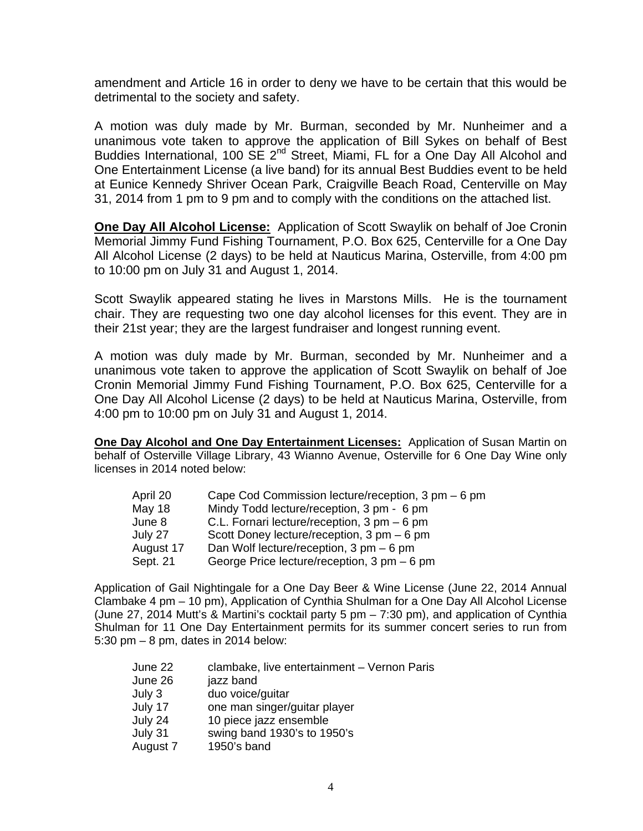amendment and Article 16 in order to deny we have to be certain that this would be detrimental to the society and safety.

A motion was duly made by Mr. Burman, seconded by Mr. Nunheimer and a unanimous vote taken to approve the application of Bill Sykes on behalf of Best Buddies International, 100 SE 2<sup>nd</sup> Street, Miami, FL for a One Day All Alcohol and One Entertainment License (a live band) for its annual Best Buddies event to be held at Eunice Kennedy Shriver Ocean Park, Craigville Beach Road, Centerville on May 31, 2014 from 1 pm to 9 pm and to comply with the conditions on the attached list.

**One Day All Alcohol License:** Application of Scott Swaylik on behalf of Joe Cronin Memorial Jimmy Fund Fishing Tournament, P.O. Box 625, Centerville for a One Day All Alcohol License (2 days) to be held at Nauticus Marina, Osterville, from 4:00 pm to 10:00 pm on July 31 and August 1, 2014.

Scott Swaylik appeared stating he lives in Marstons Mills. He is the tournament chair. They are requesting two one day alcohol licenses for this event. They are in their 21st year; they are the largest fundraiser and longest running event.

A motion was duly made by Mr. Burman, seconded by Mr. Nunheimer and a unanimous vote taken to approve the application of Scott Swaylik on behalf of Joe Cronin Memorial Jimmy Fund Fishing Tournament, P.O. Box 625, Centerville for a One Day All Alcohol License (2 days) to be held at Nauticus Marina, Osterville, from 4:00 pm to 10:00 pm on July 31 and August 1, 2014.

**One Day Alcohol and One Day Entertainment Licenses:** Application of Susan Martin on behalf of Osterville Village Library, 43 Wianno Avenue, Osterville for 6 One Day Wine only licenses in 2014 noted below:

| Cape Cod Commission lecture/reception, 3 pm – 6 pm        |
|-----------------------------------------------------------|
| Mindy Todd lecture/reception, 3 pm - 6 pm                 |
| C.L. Fornari lecture/reception, 3 pm - 6 pm               |
| Scott Doney lecture/reception, 3 pm - 6 pm                |
| Dan Wolf lecture/reception, $3 \text{ pm} - 6 \text{ pm}$ |
| George Price lecture/reception, 3 pm - 6 pm               |
|                                                           |

Application of Gail Nightingale for a One Day Beer & Wine License (June 22, 2014 Annual Clambake 4 pm – 10 pm), Application of Cynthia Shulman for a One Day All Alcohol License (June 27, 2014 Mutt's & Martini's cocktail party 5 pm – 7:30 pm), and application of Cynthia Shulman for 11 One Day Entertainment permits for its summer concert series to run from 5:30 pm – 8 pm, dates in 2014 below: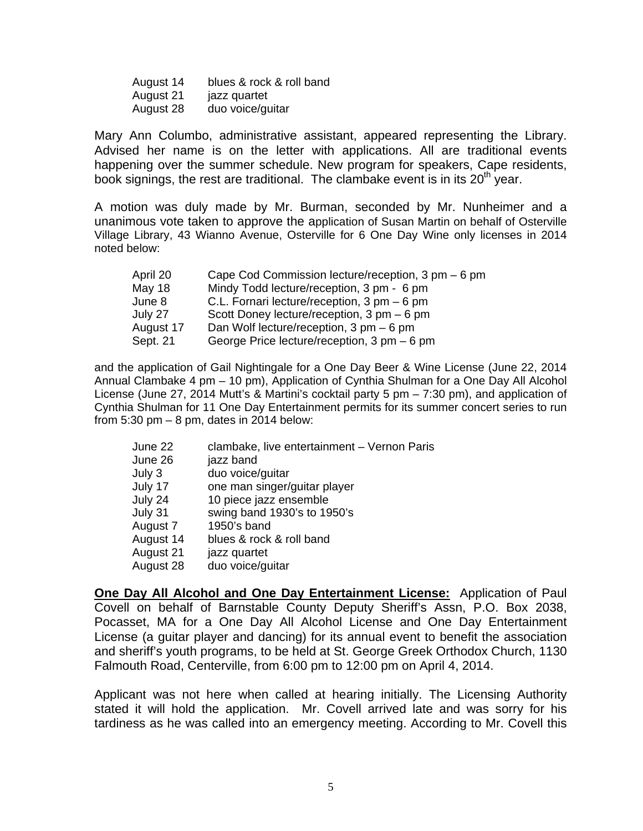August 14 blues & rock & roll band August 21 jazz quartet August 28 duo voice/guitar

Mary Ann Columbo, administrative assistant, appeared representing the Library. Advised her name is on the letter with applications. All are traditional events happening over the summer schedule. New program for speakers, Cape residents, book signings, the rest are traditional. The clambake event is in its  $20<sup>th</sup>$  year.

A motion was duly made by Mr. Burman, seconded by Mr. Nunheimer and a unanimous vote taken to approve the application of Susan Martin on behalf of Osterville Village Library, 43 Wianno Avenue, Osterville for 6 One Day Wine only licenses in 2014 noted below:

| April 20      | Cape Cod Commission lecture/reception, $3 \text{ pm} - 6 \text{ pm}$ |
|---------------|----------------------------------------------------------------------|
| <b>May 18</b> | Mindy Todd lecture/reception, 3 pm - 6 pm                            |
| June 8        | C.L. Fornari lecture/reception, 3 pm - 6 pm                          |
| July 27       | Scott Doney lecture/reception, 3 pm - 6 pm                           |
| August 17     | Dan Wolf lecture/reception, $3 \text{ pm} - 6 \text{ pm}$            |
| Sept. 21      | George Price lecture/reception, 3 pm - 6 pm                          |

and the application of Gail Nightingale for a One Day Beer & Wine License (June 22, 2014 Annual Clambake 4 pm – 10 pm), Application of Cynthia Shulman for a One Day All Alcohol License (June 27, 2014 Mutt's & Martini's cocktail party 5 pm – 7:30 pm), and application of Cynthia Shulman for 11 One Day Entertainment permits for its summer concert series to run from  $5:30$  pm  $-8$  pm, dates in 2014 below:

| June 22   | clambake, live entertainment - Vernon Paris |
|-----------|---------------------------------------------|
| June 26   | jazz band                                   |
| July 3    | duo voice/guitar                            |
| July 17   | one man singer/guitar player                |
| July 24   | 10 piece jazz ensemble                      |
| July 31   | swing band 1930's to 1950's                 |
| August 7  | 1950's band                                 |
| August 14 | blues & rock & roll band                    |
| August 21 | jazz quartet                                |
| August 28 | duo voice/guitar                            |

**One Day All Alcohol and One Day Entertainment License:** Application of Paul Covell on behalf of Barnstable County Deputy Sheriff's Assn, P.O. Box 2038, Pocasset, MA for a One Day All Alcohol License and One Day Entertainment License (a guitar player and dancing) for its annual event to benefit the association and sheriff's youth programs, to be held at St. George Greek Orthodox Church, 1130 Falmouth Road, Centerville, from 6:00 pm to 12:00 pm on April 4, 2014.

Applicant was not here when called at hearing initially. The Licensing Authority stated it will hold the application. Mr. Covell arrived late and was sorry for his tardiness as he was called into an emergency meeting. According to Mr. Covell this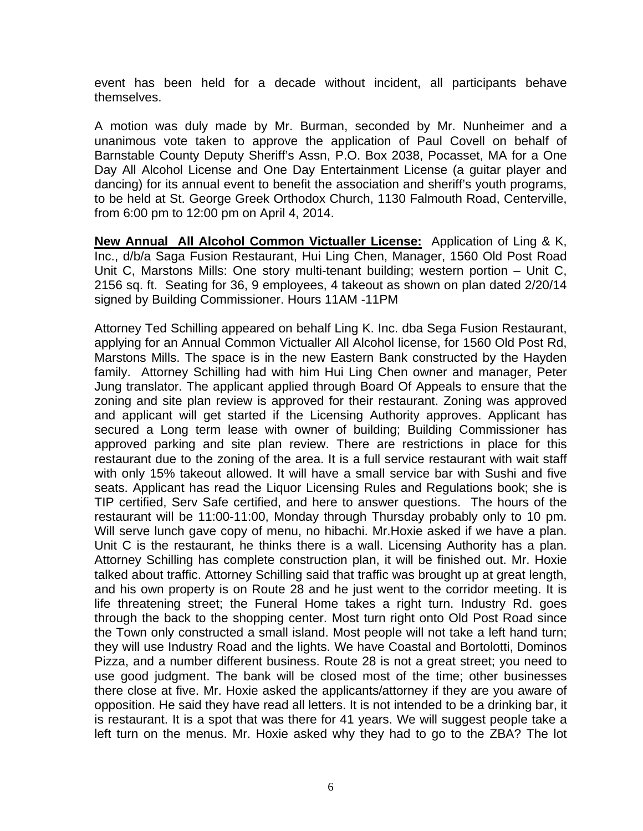event has been held for a decade without incident, all participants behave themselves.

A motion was duly made by Mr. Burman, seconded by Mr. Nunheimer and a unanimous vote taken to approve the application of Paul Covell on behalf of Barnstable County Deputy Sheriff's Assn, P.O. Box 2038, Pocasset, MA for a One Day All Alcohol License and One Day Entertainment License (a guitar player and dancing) for its annual event to benefit the association and sheriff's youth programs, to be held at St. George Greek Orthodox Church, 1130 Falmouth Road, Centerville, from 6:00 pm to 12:00 pm on April 4, 2014.

**New Annual All Alcohol Common Victualler License:** Application of Ling & K, Inc., d/b/a Saga Fusion Restaurant, Hui Ling Chen, Manager, 1560 Old Post Road Unit C, Marstons Mills: One story multi-tenant building; western portion – Unit C, 2156 sq. ft. Seating for 36, 9 employees, 4 takeout as shown on plan dated 2/20/14 signed by Building Commissioner. Hours 11AM -11PM

Attorney Ted Schilling appeared on behalf Ling K. Inc. dba Sega Fusion Restaurant, applying for an Annual Common Victualler All Alcohol license, for 1560 Old Post Rd, Marstons Mills. The space is in the new Eastern Bank constructed by the Hayden family. Attorney Schilling had with him Hui Ling Chen owner and manager, Peter Jung translator. The applicant applied through Board Of Appeals to ensure that the zoning and site plan review is approved for their restaurant. Zoning was approved and applicant will get started if the Licensing Authority approves. Applicant has secured a Long term lease with owner of building; Building Commissioner has approved parking and site plan review. There are restrictions in place for this restaurant due to the zoning of the area. It is a full service restaurant with wait staff with only 15% takeout allowed. It will have a small service bar with Sushi and five seats. Applicant has read the Liquor Licensing Rules and Regulations book; she is TIP certified, Serv Safe certified, and here to answer questions. The hours of the restaurant will be 11:00-11:00, Monday through Thursday probably only to 10 pm. Will serve lunch gave copy of menu, no hibachi. Mr.Hoxie asked if we have a plan. Unit C is the restaurant, he thinks there is a wall. Licensing Authority has a plan. Attorney Schilling has complete construction plan, it will be finished out. Mr. Hoxie talked about traffic. Attorney Schilling said that traffic was brought up at great length, and his own property is on Route 28 and he just went to the corridor meeting. It is life threatening street; the Funeral Home takes a right turn. Industry Rd. goes through the back to the shopping center. Most turn right onto Old Post Road since the Town only constructed a small island. Most people will not take a left hand turn; they will use Industry Road and the lights. We have Coastal and Bortolotti, Dominos Pizza, and a number different business. Route 28 is not a great street; you need to use good judgment. The bank will be closed most of the time; other businesses there close at five. Mr. Hoxie asked the applicants/attorney if they are you aware of opposition. He said they have read all letters. It is not intended to be a drinking bar, it is restaurant. It is a spot that was there for 41 years. We will suggest people take a left turn on the menus. Mr. Hoxie asked why they had to go to the ZBA? The lot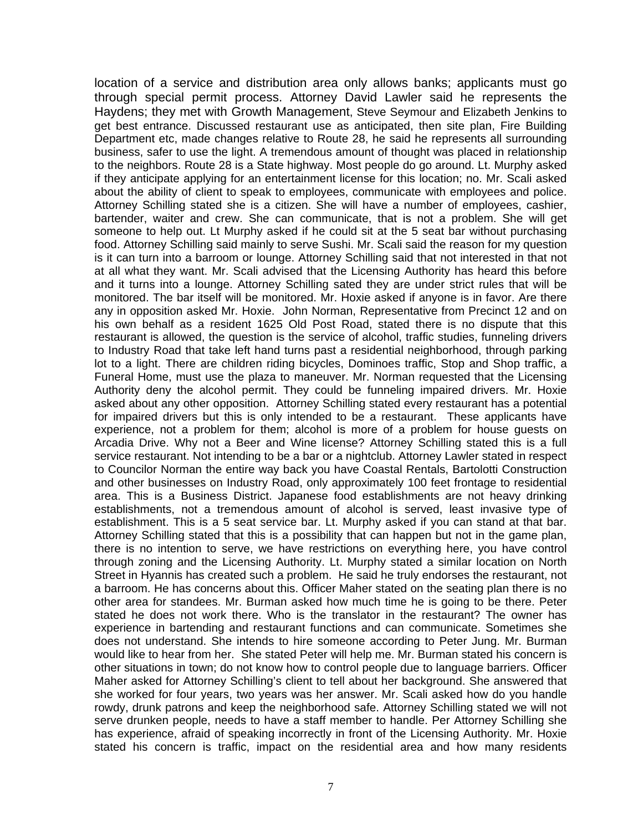location of a service and distribution area only allows banks; applicants must go through special permit process. Attorney David Lawler said he represents the Haydens; they met with Growth Management, Steve Seymour and Elizabeth Jenkins to get best entrance. Discussed restaurant use as anticipated, then site plan, Fire Building Department etc, made changes relative to Route 28, he said he represents all surrounding business, safer to use the light. A tremendous amount of thought was placed in relationship to the neighbors. Route 28 is a State highway. Most people do go around. Lt. Murphy asked if they anticipate applying for an entertainment license for this location; no. Mr. Scali asked about the ability of client to speak to employees, communicate with employees and police. Attorney Schilling stated she is a citizen. She will have a number of employees, cashier, bartender, waiter and crew. She can communicate, that is not a problem. She will get someone to help out. Lt Murphy asked if he could sit at the 5 seat bar without purchasing food. Attorney Schilling said mainly to serve Sushi. Mr. Scali said the reason for my question is it can turn into a barroom or lounge. Attorney Schilling said that not interested in that not at all what they want. Mr. Scali advised that the Licensing Authority has heard this before and it turns into a lounge. Attorney Schilling sated they are under strict rules that will be monitored. The bar itself will be monitored. Mr. Hoxie asked if anyone is in favor. Are there any in opposition asked Mr. Hoxie. John Norman, Representative from Precinct 12 and on his own behalf as a resident 1625 Old Post Road, stated there is no dispute that this restaurant is allowed, the question is the service of alcohol, traffic studies, funneling drivers to Industry Road that take left hand turns past a residential neighborhood, through parking lot to a light. There are children riding bicycles, Dominoes traffic, Stop and Shop traffic, a Funeral Home, must use the plaza to maneuver. Mr. Norman requested that the Licensing Authority deny the alcohol permit. They could be funneling impaired drivers. Mr. Hoxie asked about any other opposition. Attorney Schilling stated every restaurant has a potential for impaired drivers but this is only intended to be a restaurant. These applicants have experience, not a problem for them; alcohol is more of a problem for house guests on Arcadia Drive. Why not a Beer and Wine license? Attorney Schilling stated this is a full service restaurant. Not intending to be a bar or a nightclub. Attorney Lawler stated in respect to Councilor Norman the entire way back you have Coastal Rentals, Bartolotti Construction and other businesses on Industry Road, only approximately 100 feet frontage to residential area. This is a Business District. Japanese food establishments are not heavy drinking establishments, not a tremendous amount of alcohol is served, least invasive type of establishment. This is a 5 seat service bar. Lt. Murphy asked if you can stand at that bar. Attorney Schilling stated that this is a possibility that can happen but not in the game plan, there is no intention to serve, we have restrictions on everything here, you have control through zoning and the Licensing Authority. Lt. Murphy stated a similar location on North Street in Hyannis has created such a problem. He said he truly endorses the restaurant, not a barroom. He has concerns about this. Officer Maher stated on the seating plan there is no other area for standees. Mr. Burman asked how much time he is going to be there. Peter stated he does not work there. Who is the translator in the restaurant? The owner has experience in bartending and restaurant functions and can communicate. Sometimes she does not understand. She intends to hire someone according to Peter Jung. Mr. Burman would like to hear from her. She stated Peter will help me. Mr. Burman stated his concern is other situations in town; do not know how to control people due to language barriers. Officer Maher asked for Attorney Schilling's client to tell about her background. She answered that she worked for four years, two years was her answer. Mr. Scali asked how do you handle rowdy, drunk patrons and keep the neighborhood safe. Attorney Schilling stated we will not serve drunken people, needs to have a staff member to handle. Per Attorney Schilling she has experience, afraid of speaking incorrectly in front of the Licensing Authority. Mr. Hoxie stated his concern is traffic, impact on the residential area and how many residents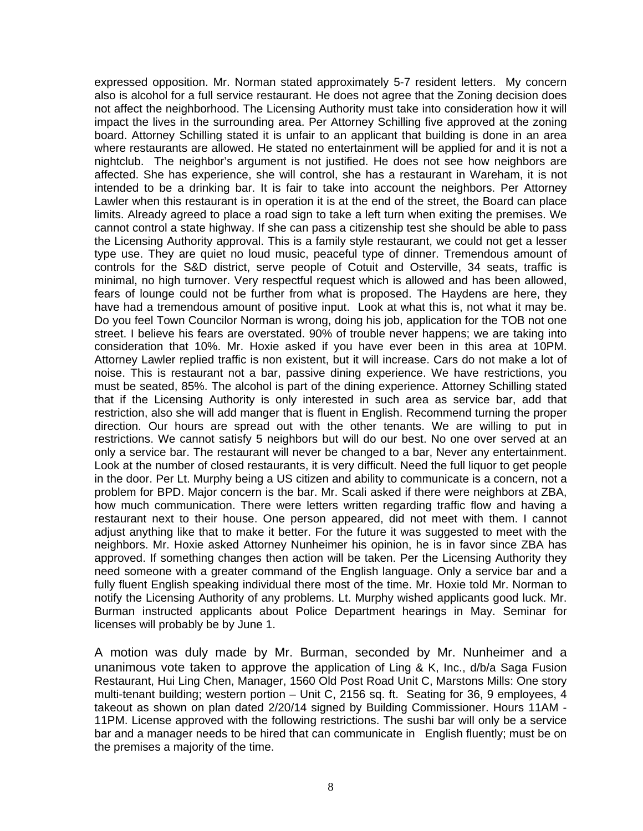expressed opposition. Mr. Norman stated approximately 5-7 resident letters. My concern also is alcohol for a full service restaurant. He does not agree that the Zoning decision does not affect the neighborhood. The Licensing Authority must take into consideration how it will impact the lives in the surrounding area. Per Attorney Schilling five approved at the zoning board. Attorney Schilling stated it is unfair to an applicant that building is done in an area where restaurants are allowed. He stated no entertainment will be applied for and it is not a nightclub. The neighbor's argument is not justified. He does not see how neighbors are affected. She has experience, she will control, she has a restaurant in Wareham, it is not intended to be a drinking bar. It is fair to take into account the neighbors. Per Attorney Lawler when this restaurant is in operation it is at the end of the street, the Board can place limits. Already agreed to place a road sign to take a left turn when exiting the premises. We cannot control a state highway. If she can pass a citizenship test she should be able to pass the Licensing Authority approval. This is a family style restaurant, we could not get a lesser type use. They are quiet no loud music, peaceful type of dinner. Tremendous amount of controls for the S&D district, serve people of Cotuit and Osterville, 34 seats, traffic is minimal, no high turnover. Very respectful request which is allowed and has been allowed, fears of lounge could not be further from what is proposed. The Haydens are here, they have had a tremendous amount of positive input. Look at what this is, not what it may be. Do you feel Town Councilor Norman is wrong, doing his job, application for the TOB not one street. I believe his fears are overstated. 90% of trouble never happens; we are taking into consideration that 10%. Mr. Hoxie asked if you have ever been in this area at 10PM. Attorney Lawler replied traffic is non existent, but it will increase. Cars do not make a lot of noise. This is restaurant not a bar, passive dining experience. We have restrictions, you must be seated, 85%. The alcohol is part of the dining experience. Attorney Schilling stated that if the Licensing Authority is only interested in such area as service bar, add that restriction, also she will add manger that is fluent in English. Recommend turning the proper direction. Our hours are spread out with the other tenants. We are willing to put in restrictions. We cannot satisfy 5 neighbors but will do our best. No one over served at an only a service bar. The restaurant will never be changed to a bar, Never any entertainment. Look at the number of closed restaurants, it is very difficult. Need the full liquor to get people in the door. Per Lt. Murphy being a US citizen and ability to communicate is a concern, not a problem for BPD. Major concern is the bar. Mr. Scali asked if there were neighbors at ZBA, how much communication. There were letters written regarding traffic flow and having a restaurant next to their house. One person appeared, did not meet with them. I cannot adjust anything like that to make it better. For the future it was suggested to meet with the neighbors. Mr. Hoxie asked Attorney Nunheimer his opinion, he is in favor since ZBA has approved. If something changes then action will be taken. Per the Licensing Authority they need someone with a greater command of the English language. Only a service bar and a fully fluent English speaking individual there most of the time. Mr. Hoxie told Mr. Norman to notify the Licensing Authority of any problems. Lt. Murphy wished applicants good luck. Mr. Burman instructed applicants about Police Department hearings in May. Seminar for licenses will probably be by June 1.

A motion was duly made by Mr. Burman, seconded by Mr. Nunheimer and a unanimous vote taken to approve the application of Ling & K, Inc., d/b/a Saga Fusion Restaurant, Hui Ling Chen, Manager, 1560 Old Post Road Unit C, Marstons Mills: One story multi-tenant building; western portion – Unit C, 2156 sq. ft. Seating for 36, 9 employees, 4 takeout as shown on plan dated 2/20/14 signed by Building Commissioner. Hours 11AM - 11PM. License approved with the following restrictions. The sushi bar will only be a service bar and a manager needs to be hired that can communicate in English fluently; must be on the premises a majority of the time.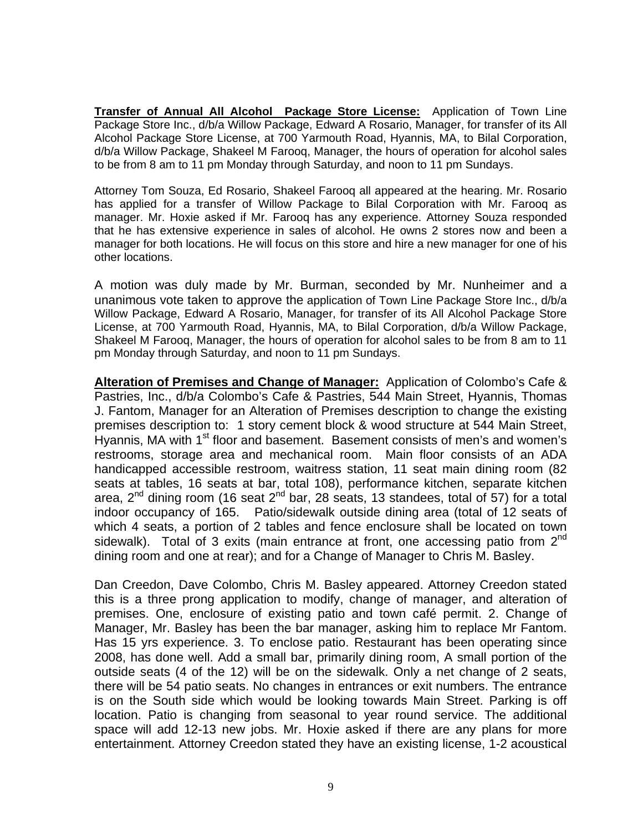**Transfer of Annual All Alcohol Package Store License:** Application of Town Line Package Store Inc., d/b/a Willow Package, Edward A Rosario, Manager, for transfer of its All Alcohol Package Store License, at 700 Yarmouth Road, Hyannis, MA, to Bilal Corporation, d/b/a Willow Package, Shakeel M Farooq, Manager, the hours of operation for alcohol sales to be from 8 am to 11 pm Monday through Saturday, and noon to 11 pm Sundays.

Attorney Tom Souza, Ed Rosario, Shakeel Farooq all appeared at the hearing. Mr. Rosario has applied for a transfer of Willow Package to Bilal Corporation with Mr. Farooq as manager. Mr. Hoxie asked if Mr. Farooq has any experience. Attorney Souza responded that he has extensive experience in sales of alcohol. He owns 2 stores now and been a manager for both locations. He will focus on this store and hire a new manager for one of his other locations.

A motion was duly made by Mr. Burman, seconded by Mr. Nunheimer and a unanimous vote taken to approve the application of Town Line Package Store Inc., d/b/a Willow Package, Edward A Rosario, Manager, for transfer of its All Alcohol Package Store License, at 700 Yarmouth Road, Hyannis, MA, to Bilal Corporation, d/b/a Willow Package, Shakeel M Farooq, Manager, the hours of operation for alcohol sales to be from 8 am to 11 pm Monday through Saturday, and noon to 11 pm Sundays.

**Alteration of Premises and Change of Manager:** Application of Colombo's Cafe & Pastries, Inc., d/b/a Colombo's Cafe & Pastries, 544 Main Street, Hyannis, Thomas J. Fantom, Manager for an Alteration of Premises description to change the existing premises description to: 1 story cement block & wood structure at 544 Main Street, Hyannis, MA with 1<sup>st</sup> floor and basement. Basement consists of men's and women's restrooms, storage area and mechanical room. Main floor consists of an ADA handicapped accessible restroom, waitress station, 11 seat main dining room (82 seats at tables, 16 seats at bar, total 108), performance kitchen, separate kitchen area,  $2^{nd}$  dining room (16 seat  $2^{nd}$  bar, 28 seats, 13 standees, total of 57) for a total indoor occupancy of 165. Patio/sidewalk outside dining area (total of 12 seats of which 4 seats, a portion of 2 tables and fence enclosure shall be located on town sidewalk). Total of 3 exits (main entrance at front, one accessing patio from  $2^{nd}$ dining room and one at rear); and for a Change of Manager to Chris M. Basley.

Dan Creedon, Dave Colombo, Chris M. Basley appeared. Attorney Creedon stated this is a three prong application to modify, change of manager, and alteration of premises. One, enclosure of existing patio and town café permit. 2. Change of Manager, Mr. Basley has been the bar manager, asking him to replace Mr Fantom. Has 15 yrs experience. 3. To enclose patio. Restaurant has been operating since 2008, has done well. Add a small bar, primarily dining room, A small portion of the outside seats (4 of the 12) will be on the sidewalk. Only a net change of 2 seats, there will be 54 patio seats. No changes in entrances or exit numbers. The entrance is on the South side which would be looking towards Main Street. Parking is off location. Patio is changing from seasonal to year round service. The additional space will add 12-13 new jobs. Mr. Hoxie asked if there are any plans for more entertainment. Attorney Creedon stated they have an existing license, 1-2 acoustical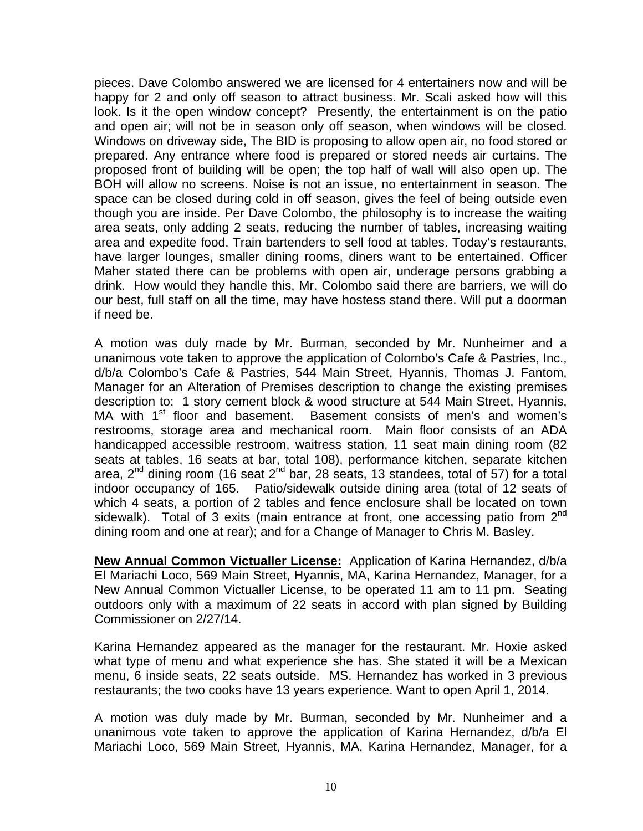pieces. Dave Colombo answered we are licensed for 4 entertainers now and will be happy for 2 and only off season to attract business. Mr. Scali asked how will this look. Is it the open window concept? Presently, the entertainment is on the patio and open air; will not be in season only off season, when windows will be closed. Windows on driveway side, The BID is proposing to allow open air, no food stored or prepared. Any entrance where food is prepared or stored needs air curtains. The proposed front of building will be open; the top half of wall will also open up. The BOH will allow no screens. Noise is not an issue, no entertainment in season. The space can be closed during cold in off season, gives the feel of being outside even though you are inside. Per Dave Colombo, the philosophy is to increase the waiting area seats, only adding 2 seats, reducing the number of tables, increasing waiting area and expedite food. Train bartenders to sell food at tables. Today's restaurants, have larger lounges, smaller dining rooms, diners want to be entertained. Officer Maher stated there can be problems with open air, underage persons grabbing a drink. How would they handle this, Mr. Colombo said there are barriers, we will do our best, full staff on all the time, may have hostess stand there. Will put a doorman if need be.

A motion was duly made by Mr. Burman, seconded by Mr. Nunheimer and a unanimous vote taken to approve the application of Colombo's Cafe & Pastries, Inc., d/b/a Colombo's Cafe & Pastries, 544 Main Street, Hyannis, Thomas J. Fantom, Manager for an Alteration of Premises description to change the existing premises description to: 1 story cement block & wood structure at 544 Main Street, Hyannis, MA with 1<sup>st</sup> floor and basement. Basement consists of men's and women's restrooms, storage area and mechanical room. Main floor consists of an ADA handicapped accessible restroom, waitress station, 11 seat main dining room (82 seats at tables, 16 seats at bar, total 108), performance kitchen, separate kitchen area,  $2^{nd}$  dining room (16 seat  $2^{nd}$  bar, 28 seats, 13 standees, total of 57) for a total indoor occupancy of 165. Patio/sidewalk outside dining area (total of 12 seats of which 4 seats, a portion of 2 tables and fence enclosure shall be located on town sidewalk). Total of 3 exits (main entrance at front, one accessing patio from  $2^{nd}$ dining room and one at rear); and for a Change of Manager to Chris M. Basley.

**New Annual Common Victualler License:** Application of Karina Hernandez, d/b/a El Mariachi Loco, 569 Main Street, Hyannis, MA, Karina Hernandez, Manager, for a New Annual Common Victualler License, to be operated 11 am to 11 pm. Seating outdoors only with a maximum of 22 seats in accord with plan signed by Building Commissioner on 2/27/14.

Karina Hernandez appeared as the manager for the restaurant. Mr. Hoxie asked what type of menu and what experience she has. She stated it will be a Mexican menu, 6 inside seats, 22 seats outside. MS. Hernandez has worked in 3 previous restaurants; the two cooks have 13 years experience. Want to open April 1, 2014.

A motion was duly made by Mr. Burman, seconded by Mr. Nunheimer and a unanimous vote taken to approve the application of Karina Hernandez, d/b/a El Mariachi Loco, 569 Main Street, Hyannis, MA, Karina Hernandez, Manager, for a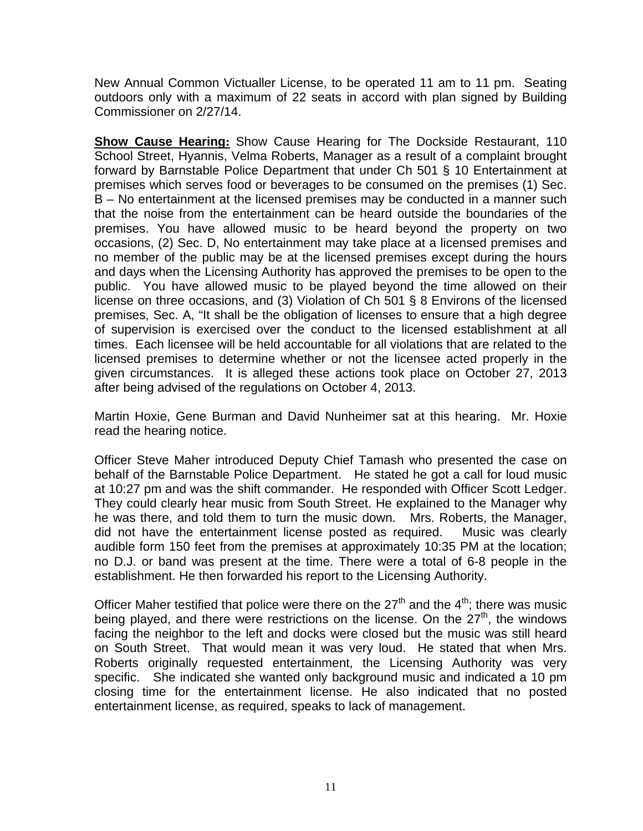New Annual Common Victualler License, to be operated 11 am to 11 pm. Seating outdoors only with a maximum of 22 seats in accord with plan signed by Building Commissioner on 2/27/14.

**Show Cause Hearing:** Show Cause Hearing for The Dockside Restaurant, 110 School Street, Hyannis, Velma Roberts, Manager as a result of a complaint brought forward by Barnstable Police Department that under Ch 501 § 10 Entertainment at premises which serves food or beverages to be consumed on the premises (1) Sec. B – No entertainment at the licensed premises may be conducted in a manner such that the noise from the entertainment can be heard outside the boundaries of the premises. You have allowed music to be heard beyond the property on two occasions, (2) Sec. D, No entertainment may take place at a licensed premises and no member of the public may be at the licensed premises except during the hours and days when the Licensing Authority has approved the premises to be open to the public. You have allowed music to be played beyond the time allowed on their license on three occasions, and (3) Violation of Ch 501 § 8 Environs of the licensed premises, Sec. A, "It shall be the obligation of licenses to ensure that a high degree of supervision is exercised over the conduct to the licensed establishment at all times. Each licensee will be held accountable for all violations that are related to the licensed premises to determine whether or not the licensee acted properly in the given circumstances. It is alleged these actions took place on October 27, 2013 after being advised of the regulations on October 4, 2013.

Martin Hoxie, Gene Burman and David Nunheimer sat at this hearing. Mr. Hoxie read the hearing notice.

Officer Steve Maher introduced Deputy Chief Tamash who presented the case on behalf of the Barnstable Police Department. He stated he got a call for loud music at 10:27 pm and was the shift commander. He responded with Officer Scott Ledger. They could clearly hear music from South Street. He explained to the Manager why he was there, and told them to turn the music down. Mrs. Roberts, the Manager, did not have the entertainment license posted as required. Music was clearly audible form 150 feet from the premises at approximately 10:35 PM at the location; no D.J. or band was present at the time. There were a total of 6-8 people in the establishment. He then forwarded his report to the Licensing Authority.

Officer Maher testified that police were there on the  $27<sup>th</sup>$  and the  $4<sup>th</sup>$ ; there was music being played, and there were restrictions on the license. On the  $27<sup>th</sup>$ , the windows facing the neighbor to the left and docks were closed but the music was still heard on South Street. That would mean it was very loud. He stated that when Mrs. Roberts originally requested entertainment, the Licensing Authority was very specific. She indicated she wanted only background music and indicated a 10 pm closing time for the entertainment license. He also indicated that no posted entertainment license, as required, speaks to lack of management.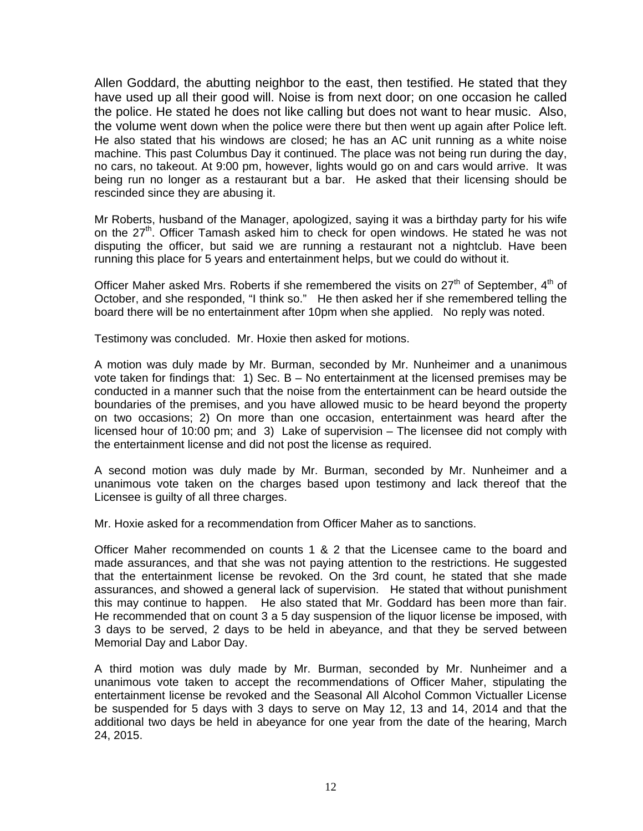Allen Goddard, the abutting neighbor to the east, then testified. He stated that they have used up all their good will. Noise is from next door; on one occasion he called the police. He stated he does not like calling but does not want to hear music. Also, the volume went down when the police were there but then went up again after Police left. He also stated that his windows are closed; he has an AC unit running as a white noise machine. This past Columbus Day it continued. The place was not being run during the day, no cars, no takeout. At 9:00 pm, however, lights would go on and cars would arrive. It was being run no longer as a restaurant but a bar. He asked that their licensing should be rescinded since they are abusing it.

Mr Roberts, husband of the Manager, apologized, saying it was a birthday party for his wife on the 27<sup>th</sup>. Officer Tamash asked him to check for open windows. He stated he was not disputing the officer, but said we are running a restaurant not a nightclub. Have been running this place for 5 years and entertainment helps, but we could do without it.

Officer Maher asked Mrs. Roberts if she remembered the visits on 27<sup>th</sup> of September, 4<sup>th</sup> of October, and she responded, "I think so." He then asked her if she remembered telling the board there will be no entertainment after 10pm when she applied. No reply was noted.

Testimony was concluded. Mr. Hoxie then asked for motions.

A motion was duly made by Mr. Burman, seconded by Mr. Nunheimer and a unanimous vote taken for findings that: 1) Sec. B – No entertainment at the licensed premises may be conducted in a manner such that the noise from the entertainment can be heard outside the boundaries of the premises, and you have allowed music to be heard beyond the property on two occasions; 2) On more than one occasion, entertainment was heard after the licensed hour of 10:00 pm; and 3) Lake of supervision – The licensee did not comply with the entertainment license and did not post the license as required.

A second motion was duly made by Mr. Burman, seconded by Mr. Nunheimer and a unanimous vote taken on the charges based upon testimony and lack thereof that the Licensee is guilty of all three charges.

Mr. Hoxie asked for a recommendation from Officer Maher as to sanctions.

Officer Maher recommended on counts 1 & 2 that the Licensee came to the board and made assurances, and that she was not paying attention to the restrictions. He suggested that the entertainment license be revoked. On the 3rd count, he stated that she made assurances, and showed a general lack of supervision. He stated that without punishment this may continue to happen. He also stated that Mr. Goddard has been more than fair. He recommended that on count 3 a 5 day suspension of the liquor license be imposed, with 3 days to be served, 2 days to be held in abeyance, and that they be served between Memorial Day and Labor Day.

A third motion was duly made by Mr. Burman, seconded by Mr. Nunheimer and a unanimous vote taken to accept the recommendations of Officer Maher, stipulating the entertainment license be revoked and the Seasonal All Alcohol Common Victualler License be suspended for 5 days with 3 days to serve on May 12, 13 and 14, 2014 and that the additional two days be held in abeyance for one year from the date of the hearing, March 24, 2015.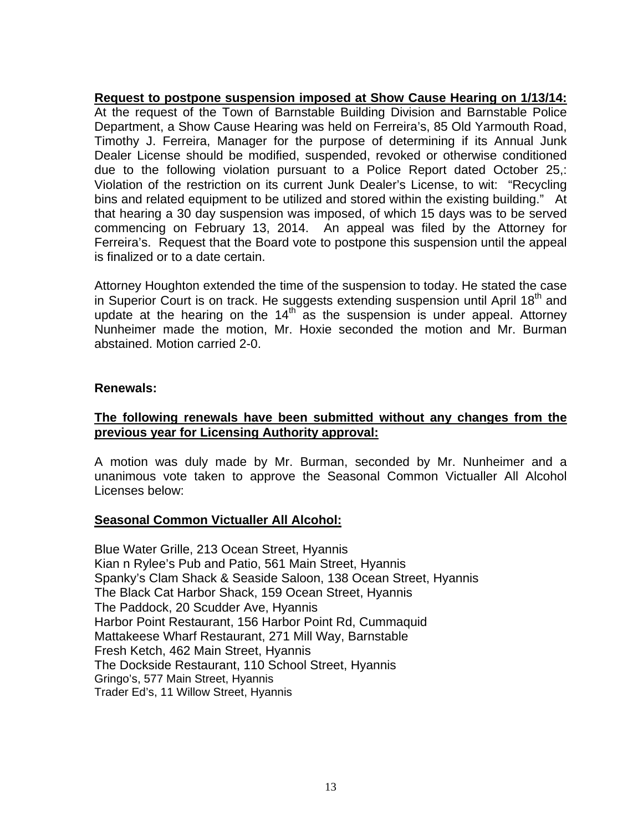**Request to postpone suspension imposed at Show Cause Hearing on 1/13/14:** At the request of the Town of Barnstable Building Division and Barnstable Police Department, a Show Cause Hearing was held on Ferreira's, 85 Old Yarmouth Road, Timothy J. Ferreira, Manager for the purpose of determining if its Annual Junk Dealer License should be modified, suspended, revoked or otherwise conditioned due to the following violation pursuant to a Police Report dated October 25,: Violation of the restriction on its current Junk Dealer's License, to wit: "Recycling bins and related equipment to be utilized and stored within the existing building." At that hearing a 30 day suspension was imposed, of which 15 days was to be served commencing on February 13, 2014. An appeal was filed by the Attorney for Ferreira's. Request that the Board vote to postpone this suspension until the appeal is finalized or to a date certain.

Attorney Houghton extended the time of the suspension to today. He stated the case in Superior Court is on track. He suggests extending suspension until April 18<sup>th</sup> and update at the hearing on the 14<sup>th</sup> as the suspension is under appeal. Attorney Nunheimer made the motion, Mr. Hoxie seconded the motion and Mr. Burman abstained. Motion carried 2-0.

# **Renewals:**

# **The following renewals have been submitted without any changes from the previous year for Licensing Authority approval:**

A motion was duly made by Mr. Burman, seconded by Mr. Nunheimer and a unanimous vote taken to approve the Seasonal Common Victualler All Alcohol Licenses below:

#### **Seasonal Common Victualler All Alcohol:**

Blue Water Grille, 213 Ocean Street, Hyannis Kian n Rylee's Pub and Patio, 561 Main Street, Hyannis Spanky's Clam Shack & Seaside Saloon, 138 Ocean Street, Hyannis The Black Cat Harbor Shack, 159 Ocean Street, Hyannis The Paddock, 20 Scudder Ave, Hyannis Harbor Point Restaurant, 156 Harbor Point Rd, Cummaquid Mattakeese Wharf Restaurant, 271 Mill Way, Barnstable Fresh Ketch, 462 Main Street, Hyannis The Dockside Restaurant, 110 School Street, Hyannis Gringo's, 577 Main Street, Hyannis Trader Ed's, 11 Willow Street, Hyannis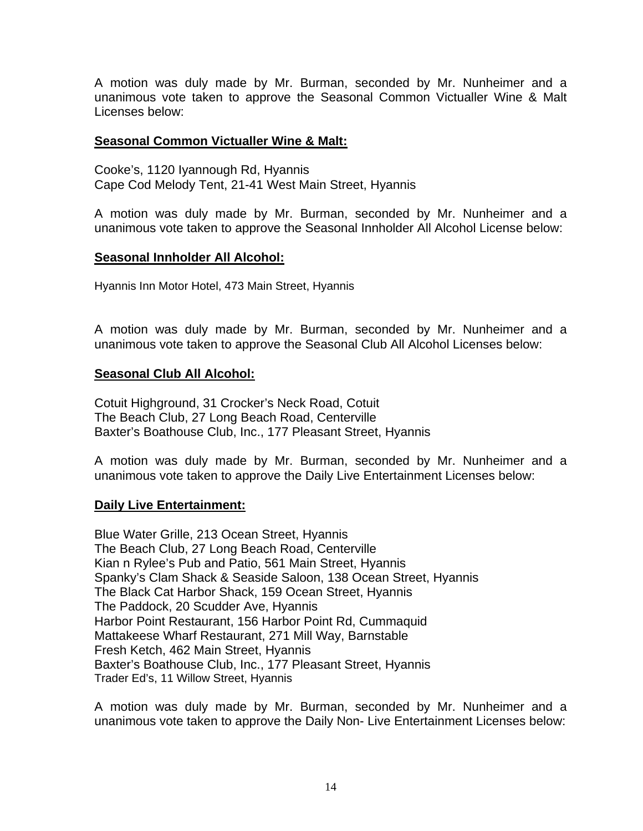A motion was duly made by Mr. Burman, seconded by Mr. Nunheimer and a unanimous vote taken to approve the Seasonal Common Victualler Wine & Malt Licenses below:

## **Seasonal Common Victualler Wine & Malt:**

Cooke's, 1120 Iyannough Rd, Hyannis Cape Cod Melody Tent, 21-41 West Main Street, Hyannis

A motion was duly made by Mr. Burman, seconded by Mr. Nunheimer and a unanimous vote taken to approve the Seasonal Innholder All Alcohol License below:

## **Seasonal Innholder All Alcohol:**

Hyannis Inn Motor Hotel, 473 Main Street, Hyannis

A motion was duly made by Mr. Burman, seconded by Mr. Nunheimer and a unanimous vote taken to approve the Seasonal Club All Alcohol Licenses below:

## **Seasonal Club All Alcohol:**

Cotuit Highground, 31 Crocker's Neck Road, Cotuit The Beach Club, 27 Long Beach Road, Centerville Baxter's Boathouse Club, Inc., 177 Pleasant Street, Hyannis

A motion was duly made by Mr. Burman, seconded by Mr. Nunheimer and a unanimous vote taken to approve the Daily Live Entertainment Licenses below:

# **Daily Live Entertainment:**

Blue Water Grille, 213 Ocean Street, Hyannis The Beach Club, 27 Long Beach Road, Centerville Kian n Rylee's Pub and Patio, 561 Main Street, Hyannis Spanky's Clam Shack & Seaside Saloon, 138 Ocean Street, Hyannis The Black Cat Harbor Shack, 159 Ocean Street, Hyannis The Paddock, 20 Scudder Ave, Hyannis Harbor Point Restaurant, 156 Harbor Point Rd, Cummaquid Mattakeese Wharf Restaurant, 271 Mill Way, Barnstable Fresh Ketch, 462 Main Street, Hyannis Baxter's Boathouse Club, Inc., 177 Pleasant Street, Hyannis Trader Ed's, 11 Willow Street, Hyannis

A motion was duly made by Mr. Burman, seconded by Mr. Nunheimer and a unanimous vote taken to approve the Daily Non- Live Entertainment Licenses below: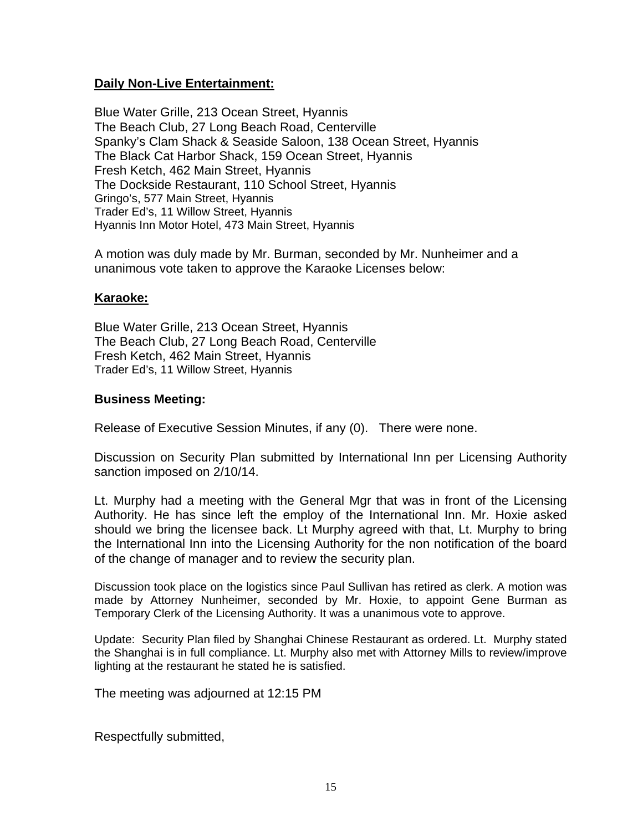## **Daily Non-Live Entertainment:**

Blue Water Grille, 213 Ocean Street, Hyannis The Beach Club, 27 Long Beach Road, Centerville Spanky's Clam Shack & Seaside Saloon, 138 Ocean Street, Hyannis The Black Cat Harbor Shack, 159 Ocean Street, Hyannis Fresh Ketch, 462 Main Street, Hyannis The Dockside Restaurant, 110 School Street, Hyannis Gringo's, 577 Main Street, Hyannis Trader Ed's, 11 Willow Street, Hyannis Hyannis Inn Motor Hotel, 473 Main Street, Hyannis

A motion was duly made by Mr. Burman, seconded by Mr. Nunheimer and a unanimous vote taken to approve the Karaoke Licenses below:

#### **Karaoke:**

Blue Water Grille, 213 Ocean Street, Hyannis The Beach Club, 27 Long Beach Road, Centerville Fresh Ketch, 462 Main Street, Hyannis Trader Ed's, 11 Willow Street, Hyannis

#### **Business Meeting:**

Release of Executive Session Minutes, if any (0). There were none.

Discussion on Security Plan submitted by International Inn per Licensing Authority sanction imposed on 2/10/14.

Lt. Murphy had a meeting with the General Mgr that was in front of the Licensing Authority. He has since left the employ of the International Inn. Mr. Hoxie asked should we bring the licensee back. Lt Murphy agreed with that, Lt. Murphy to bring the International Inn into the Licensing Authority for the non notification of the board of the change of manager and to review the security plan.

Discussion took place on the logistics since Paul Sullivan has retired as clerk. A motion was made by Attorney Nunheimer, seconded by Mr. Hoxie, to appoint Gene Burman as Temporary Clerk of the Licensing Authority. It was a unanimous vote to approve.

Update: Security Plan filed by Shanghai Chinese Restaurant as ordered. Lt. Murphy stated the Shanghai is in full compliance. Lt. Murphy also met with Attorney Mills to review/improve lighting at the restaurant he stated he is satisfied.

The meeting was adjourned at 12:15 PM

Respectfully submitted,